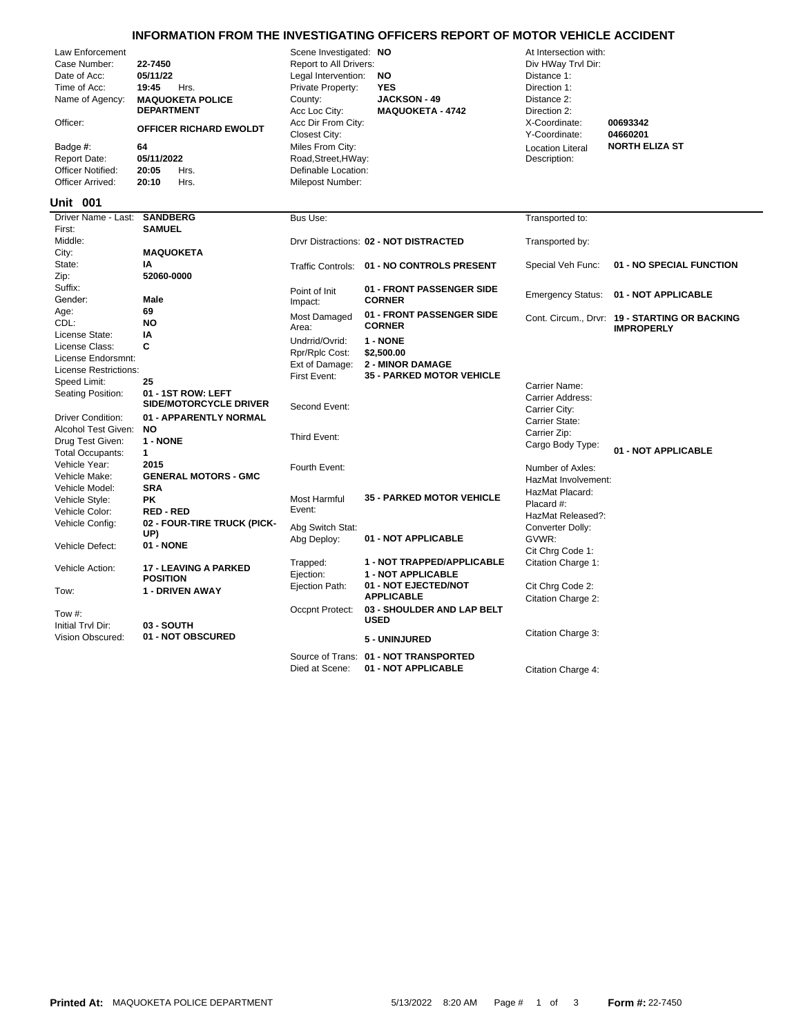## **INFORMATION FROM THE INVESTIGATING OFFICERS REPORT OF MOTOR VEHICLE ACCIDENT**

| Law Enforcement<br>Case Number:<br>Date of Acc:<br>Time of Acc:<br>Name of Agency:<br>Officer:<br>Badge #:<br><b>Report Date:</b><br><b>Officer Notified:</b><br>Officer Arrived:<br>Unit 001 | 22-7450<br>05/11/22<br>19:45<br>Hrs.<br><b>MAQUOKETA POLICE</b><br><b>DEPARTMENT</b><br>OFFICER RICHARD EWOLDT<br>64<br>05/11/2022<br>20:05<br>Hrs.<br>20:10<br>Hrs. | Scene Investigated: NO<br>Report to All Drivers:<br>Legal Intervention:<br>Private Property:<br>County:<br>Acc Loc City:<br>Acc Dir From City:<br>Closest City:<br>Miles From City:<br>Road, Street, HWay:<br>Definable Location:<br>Milepost Number: | NO<br><b>YES</b><br><b>JACKSON - 49</b><br><b>MAQUOKETA - 4742</b> | At Intersection with:<br>Div HWay Trvl Dir:<br>Distance 1:<br>Direction 1:<br>Distance 2:<br>Direction 2:<br>X-Coordinate:<br>Y-Coordinate:<br><b>Location Literal</b><br>Description: | 00693342<br>04660201<br><b>NORTH ELIZA ST</b>                      |
|-----------------------------------------------------------------------------------------------------------------------------------------------------------------------------------------------|----------------------------------------------------------------------------------------------------------------------------------------------------------------------|-------------------------------------------------------------------------------------------------------------------------------------------------------------------------------------------------------------------------------------------------------|--------------------------------------------------------------------|----------------------------------------------------------------------------------------------------------------------------------------------------------------------------------------|--------------------------------------------------------------------|
| Driver Name - Last:                                                                                                                                                                           | <b>SANDBERG</b>                                                                                                                                                      | Bus Use:                                                                                                                                                                                                                                              |                                                                    | Transported to:                                                                                                                                                                        |                                                                    |
| First:                                                                                                                                                                                        | <b>SAMUEL</b>                                                                                                                                                        |                                                                                                                                                                                                                                                       |                                                                    |                                                                                                                                                                                        |                                                                    |
| Middle:                                                                                                                                                                                       |                                                                                                                                                                      |                                                                                                                                                                                                                                                       | Drvr Distractions: 02 - NOT DISTRACTED                             | Transported by:                                                                                                                                                                        |                                                                    |
| City:                                                                                                                                                                                         | <b>MAQUOKETA</b>                                                                                                                                                     |                                                                                                                                                                                                                                                       |                                                                    |                                                                                                                                                                                        |                                                                    |
| State:<br>Zip:                                                                                                                                                                                | IA<br>52060-0000                                                                                                                                                     | <b>Traffic Controls:</b>                                                                                                                                                                                                                              | 01 - NO CONTROLS PRESENT                                           | Special Veh Func:                                                                                                                                                                      | 01 - NO SPECIAL FUNCTION                                           |
| Suffix:                                                                                                                                                                                       |                                                                                                                                                                      |                                                                                                                                                                                                                                                       | 01 - FRONT PASSENGER SIDE                                          |                                                                                                                                                                                        |                                                                    |
| Gender:                                                                                                                                                                                       | Male                                                                                                                                                                 | Point of Init<br>Impact:                                                                                                                                                                                                                              | <b>CORNER</b>                                                      | <b>Emergency Status:</b>                                                                                                                                                               | 01 - NOT APPLICABLE                                                |
| Age:                                                                                                                                                                                          | 69                                                                                                                                                                   |                                                                                                                                                                                                                                                       | 01 - FRONT PASSENGER SIDE                                          |                                                                                                                                                                                        |                                                                    |
| CDL:                                                                                                                                                                                          | <b>NO</b>                                                                                                                                                            | Most Damaged<br>Area:                                                                                                                                                                                                                                 | <b>CORNER</b>                                                      |                                                                                                                                                                                        | Cont. Circum., Drvr: 19 - STARTING OR BACKING<br><b>IMPROPERLY</b> |
| License State:                                                                                                                                                                                | IA                                                                                                                                                                   | Undrrid/Ovrid:                                                                                                                                                                                                                                        | 1 - NONE                                                           |                                                                                                                                                                                        |                                                                    |
| License Class:                                                                                                                                                                                | C                                                                                                                                                                    | Rpr/Rplc Cost:                                                                                                                                                                                                                                        | \$2,500.00                                                         |                                                                                                                                                                                        |                                                                    |
| License Endorsmnt:                                                                                                                                                                            |                                                                                                                                                                      | Ext of Damage:                                                                                                                                                                                                                                        | <b>2 - MINOR DAMAGE</b>                                            |                                                                                                                                                                                        |                                                                    |
| License Restrictions:                                                                                                                                                                         |                                                                                                                                                                      | First Event:                                                                                                                                                                                                                                          | <b>35 - PARKED MOTOR VEHICLE</b>                                   |                                                                                                                                                                                        |                                                                    |
| Speed Limit:                                                                                                                                                                                  | 25                                                                                                                                                                   |                                                                                                                                                                                                                                                       |                                                                    | Carrier Name:                                                                                                                                                                          |                                                                    |
| Seating Position:                                                                                                                                                                             | 01 - 1ST ROW: LEFT<br>SIDE/MOTORCYCLE DRIVER                                                                                                                         | Second Event:                                                                                                                                                                                                                                         |                                                                    | Carrier Address:<br>Carrier City:                                                                                                                                                      |                                                                    |
| <b>Driver Condition:</b>                                                                                                                                                                      | 01 - APPARENTLY NORMAL                                                                                                                                               |                                                                                                                                                                                                                                                       |                                                                    | Carrier State:                                                                                                                                                                         |                                                                    |
| Alcohol Test Given:                                                                                                                                                                           | <b>NO</b>                                                                                                                                                            | Third Event:                                                                                                                                                                                                                                          |                                                                    | Carrier Zip:                                                                                                                                                                           |                                                                    |
| Drug Test Given:                                                                                                                                                                              | 1 - NONE                                                                                                                                                             |                                                                                                                                                                                                                                                       |                                                                    | Cargo Body Type:                                                                                                                                                                       | 01 - NOT APPLICABLE                                                |
| <b>Total Occupants:</b>                                                                                                                                                                       | $\mathbf{1}$                                                                                                                                                         |                                                                                                                                                                                                                                                       |                                                                    |                                                                                                                                                                                        |                                                                    |
| Vehicle Year:                                                                                                                                                                                 | 2015                                                                                                                                                                 | Fourth Event:                                                                                                                                                                                                                                         |                                                                    | Number of Axles:                                                                                                                                                                       |                                                                    |
| Vehicle Make:<br>Vehicle Model:                                                                                                                                                               | <b>GENERAL MOTORS - GMC</b><br><b>SRA</b>                                                                                                                            |                                                                                                                                                                                                                                                       |                                                                    | HazMat Involvement:                                                                                                                                                                    |                                                                    |
| Vehicle Style:                                                                                                                                                                                | <b>PK</b>                                                                                                                                                            | Most Harmful                                                                                                                                                                                                                                          | <b>35 - PARKED MOTOR VEHICLE</b>                                   | HazMat Placard:                                                                                                                                                                        |                                                                    |
| Vehicle Color:                                                                                                                                                                                | <b>RED-RED</b>                                                                                                                                                       | Event:                                                                                                                                                                                                                                                |                                                                    | Placard #:                                                                                                                                                                             |                                                                    |
| Vehicle Config:                                                                                                                                                                               | 02 - FOUR-TIRE TRUCK (PICK-                                                                                                                                          |                                                                                                                                                                                                                                                       |                                                                    | HazMat Released?:                                                                                                                                                                      |                                                                    |
|                                                                                                                                                                                               | UP)                                                                                                                                                                  | Abg Switch Stat:                                                                                                                                                                                                                                      | 01 - NOT APPLICABLE                                                | Converter Dolly:                                                                                                                                                                       |                                                                    |
| Vehicle Defect:                                                                                                                                                                               | 01 - NONE                                                                                                                                                            | Abg Deploy:                                                                                                                                                                                                                                           |                                                                    | GVWR:<br>Cit Chrq Code 1:                                                                                                                                                              |                                                                    |
|                                                                                                                                                                                               |                                                                                                                                                                      | Trapped:                                                                                                                                                                                                                                              | <b>1 - NOT TRAPPED/APPLICABLE</b>                                  | Citation Charge 1:                                                                                                                                                                     |                                                                    |
| Vehicle Action:                                                                                                                                                                               | <b>17 - LEAVING A PARKED</b>                                                                                                                                         | Ejection:                                                                                                                                                                                                                                             | 1 - NOT APPLICABLE                                                 |                                                                                                                                                                                        |                                                                    |
|                                                                                                                                                                                               | <b>POSITION</b>                                                                                                                                                      | Ejection Path:                                                                                                                                                                                                                                        | 01 - NOT EJECTED/NOT                                               | Cit Chrg Code 2:                                                                                                                                                                       |                                                                    |
| Tow:                                                                                                                                                                                          | <b>1 - DRIVEN AWAY</b>                                                                                                                                               |                                                                                                                                                                                                                                                       | <b>APPLICABLE</b>                                                  | Citation Charge 2:                                                                                                                                                                     |                                                                    |
| Tow $#$ :                                                                                                                                                                                     |                                                                                                                                                                      | Occpnt Protect:                                                                                                                                                                                                                                       | 03 - SHOULDER AND LAP BELT                                         |                                                                                                                                                                                        |                                                                    |
| Initial Trvl Dir:                                                                                                                                                                             | 03 - SOUTH                                                                                                                                                           |                                                                                                                                                                                                                                                       | <b>USED</b>                                                        |                                                                                                                                                                                        |                                                                    |
| Vision Obscured:                                                                                                                                                                              | 01 - NOT OBSCURED                                                                                                                                                    |                                                                                                                                                                                                                                                       |                                                                    | Citation Charge 3:                                                                                                                                                                     |                                                                    |
|                                                                                                                                                                                               |                                                                                                                                                                      |                                                                                                                                                                                                                                                       | 5 - UNINJURED                                                      |                                                                                                                                                                                        |                                                                    |
|                                                                                                                                                                                               |                                                                                                                                                                      |                                                                                                                                                                                                                                                       | Source of Trans: 01 - NOT TRANSPORTED                              |                                                                                                                                                                                        |                                                                    |

Died at Scene: **01 - NOT APPLICABLE** Citation Charge 4: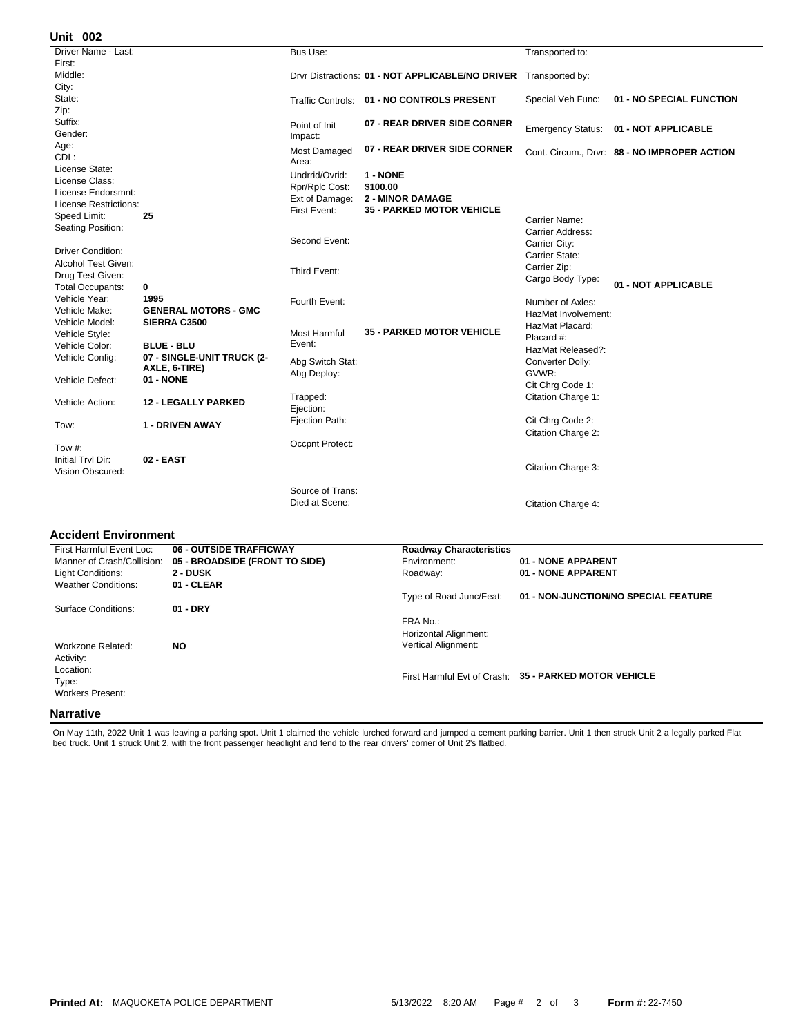| <b>Unit 002</b>                                    |                             |                  |                                                                  |                          |                                              |
|----------------------------------------------------|-----------------------------|------------------|------------------------------------------------------------------|--------------------------|----------------------------------------------|
| Driver Name - Last:                                |                             | Bus Use:         |                                                                  | Transported to:          |                                              |
| First:                                             |                             |                  |                                                                  |                          |                                              |
| Middle:                                            |                             |                  | Drvr Distractions: 01 - NOT APPLICABLE/NO DRIVER Transported by: |                          |                                              |
| City:                                              |                             |                  |                                                                  |                          |                                              |
| State:                                             |                             |                  | Traffic Controls: 01 - NO CONTROLS PRESENT                       | Special Veh Func:        | 01 - NO SPECIAL FUNCTION                     |
| Zip:                                               |                             |                  |                                                                  |                          |                                              |
| Suffix:                                            |                             | Point of Init    | 07 - REAR DRIVER SIDE CORNER                                     | <b>Emergency Status:</b> | 01 - NOT APPLICABLE                          |
| Gender:                                            |                             | Impact:          |                                                                  |                          |                                              |
| Age:                                               |                             | Most Damaged     | 07 - REAR DRIVER SIDE CORNER                                     |                          | Cont. Circum., Drvr: 88 - NO IMPROPER ACTION |
| CDL:                                               |                             | Area:            |                                                                  |                          |                                              |
| License State:                                     |                             | Undrrid/Ovrid:   | 1 - NONE                                                         |                          |                                              |
| License Class:                                     |                             | Rpr/Rplc Cost:   | \$100.00                                                         |                          |                                              |
| License Endorsmnt:<br><b>License Restrictions:</b> |                             | Ext of Damage:   | <b>2 - MINOR DAMAGE</b>                                          |                          |                                              |
| Speed Limit:                                       | 25                          | First Event:     | <b>35 - PARKED MOTOR VEHICLE</b>                                 |                          |                                              |
| Seating Position:                                  |                             |                  |                                                                  | Carrier Name:            |                                              |
|                                                    |                             | Second Event:    |                                                                  | Carrier Address:         |                                              |
| <b>Driver Condition:</b>                           |                             |                  |                                                                  | Carrier City:            |                                              |
| Alcohol Test Given:                                |                             |                  |                                                                  | Carrier State:           |                                              |
| Drug Test Given:                                   |                             | Third Event:     |                                                                  | Carrier Zip:             |                                              |
| <b>Total Occupants:</b>                            | 0                           |                  |                                                                  | Cargo Body Type:         | 01 - NOT APPLICABLE                          |
| Vehicle Year:                                      | 1995                        | Fourth Event:    |                                                                  | Number of Axles:         |                                              |
| Vehicle Make:                                      | <b>GENERAL MOTORS - GMC</b> |                  |                                                                  | HazMat Involvement:      |                                              |
| Vehicle Model:                                     | SIERRA C3500                |                  |                                                                  | HazMat Placard:          |                                              |
| Vehicle Style:                                     |                             | Most Harmful     | <b>35 - PARKED MOTOR VEHICLE</b>                                 | Placard #:               |                                              |
| Vehicle Color:                                     | <b>BLUE - BLU</b>           | Event:           |                                                                  | HazMat Released?:        |                                              |
| Vehicle Config:                                    | 07 - SINGLE-UNIT TRUCK (2-  | Abg Switch Stat: |                                                                  | Converter Dolly:         |                                              |
|                                                    | AXLE, 6-TIRE)               | Abg Deploy:      |                                                                  | GVWR:                    |                                              |
| Vehicle Defect:                                    | 01 - NONE                   |                  |                                                                  | Cit Chrg Code 1:         |                                              |
|                                                    |                             | Trapped:         |                                                                  | Citation Charge 1:       |                                              |
| Vehicle Action:                                    | <b>12 - LEGALLY PARKED</b>  | Ejection:        |                                                                  |                          |                                              |
| Tow:                                               | <b>1 - DRIVEN AWAY</b>      | Ejection Path:   |                                                                  | Cit Chrg Code 2:         |                                              |
|                                                    |                             |                  |                                                                  | Citation Charge 2:       |                                              |
| Tow #:                                             |                             | Occpnt Protect:  |                                                                  |                          |                                              |
| Initial Trvl Dir:                                  | 02 - EAST                   |                  |                                                                  |                          |                                              |
| Vision Obscured:                                   |                             |                  |                                                                  | Citation Charge 3:       |                                              |
|                                                    |                             |                  |                                                                  |                          |                                              |
|                                                    |                             | Source of Trape: |                                                                  |                          |                                              |

Source of Trans:<br>Died at Scene:

## **Accident Environment**

| First Harmful Event Loc:               | <b>06 - OUTSIDE TRAFFICWAY</b> | <b>Roadway Characteristics</b>    |                                                       |
|----------------------------------------|--------------------------------|-----------------------------------|-------------------------------------------------------|
| Manner of Crash/Collision:             | 05 - BROADSIDE (FRONT TO SIDE) | Environment:                      | 01 - NONE APPARENT                                    |
| Light Conditions:                      | 2 - DUSK                       | Roadway:                          | 01 - NONE APPARENT                                    |
| <b>Weather Conditions:</b>             | 01 - CLEAR                     |                                   |                                                       |
|                                        |                                | Type of Road Junc/Feat:           | 01 - NON-JUNCTION/NO SPECIAL FEATURE                  |
| Surface Conditions:                    | $01 - DRY$                     |                                   |                                                       |
|                                        |                                | FRA No.:<br>Horizontal Alignment: |                                                       |
| Workzone Related:<br>Activity:         | NO.                            | Vertical Alignment:               |                                                       |
| Location:<br>Type:<br>Workers Present: |                                |                                   | First Harmful Evt of Crash: 35 - PARKED MOTOR VEHICLE |
| <b>Narrative</b>                       |                                |                                   |                                                       |

On May 11th, 2022 Unit 1 was leaving a parking spot. Unit 1 claimed the vehicle lurched forward and jumped a cement parking barrier. Unit 1 then struck Unit 2 a legally parked Flat<br>bed truck. Unit 1 struck Unit 2, with the

Citation Charge 4: